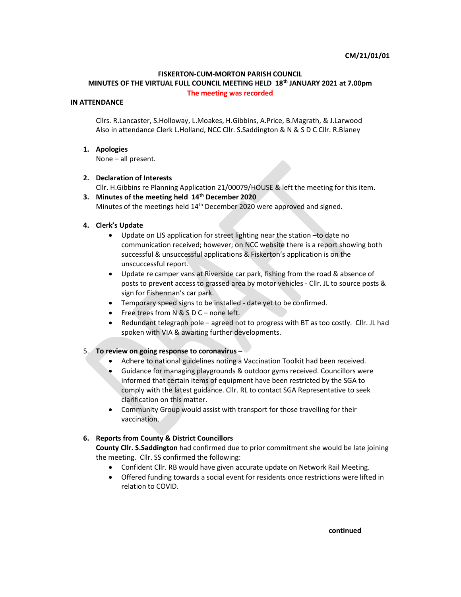#### FISKERTON-CUM-MORTON PARISH COUNCIL

# MINUTES OF THE VIRTUAL FULL COUNCIL MEETING HELD 18<sup>th</sup> JANUARY 2021 at 7.00pm The meeting was recorded

#### IN ATTENDANCE

Cllrs. R.Lancaster, S.Holloway, L.Moakes, H.Gibbins, A.Price, B.Magrath, & J.Larwood Also in attendance Clerk L.Holland, NCC Cllr. S.Saddington & N & S D C Cllr. R.Blaney

#### 1. Apologies

None – all present.

#### 2. Declaration of Interests

Cllr. H.Gibbins re Planning Application 21/00079/HOUSE & left the meeting for this item.

3. Minutes of the meeting held 14<sup>th</sup> December 2020 Minutes of the meetings held 14<sup>th</sup> December 2020 were approved and signed.

#### 4. Clerk's Update

- Update on LIS application for street lighting near the station –to date no communication received; however; on NCC website there is a report showing both successful & unsuccessful applications & Fiskerton's application is on the unscuccessful report.
- Update re camper vans at Riverside car park, fishing from the road & absence of posts to prevent access to grassed area by motor vehicles - Cllr. JL to source posts & sign for Fisherman's car park.
- Temporary speed signs to be installed date yet to be confirmed.
- Free trees from N & S D C none left.
- Redundant telegraph pole agreed not to progress with BT as too costly. Cllr. JL had spoken with VIA & awaiting further developments.

# 5. To review on going response to coronavirus –

- Adhere to national guidelines noting a Vaccination Toolkit had been received.
- Guidance for managing playgrounds & outdoor gyms received. Councillors were informed that certain items of equipment have been restricted by the SGA to comply with the latest guidance. Cllr. RL to contact SGA Representative to seek clarification on this matter.
- Community Group would assist with transport for those travelling for their vaccination.

# 6. Reports from County & District Councillors

County Cllr. S.Saddington had confirmed due to prior commitment she would be late joining the meeting. Cllr. SS confirmed the following:

- Confident Cllr. RB would have given accurate update on Network Rail Meeting.
- Offered funding towards a social event for residents once restrictions were lifted in relation to COVID.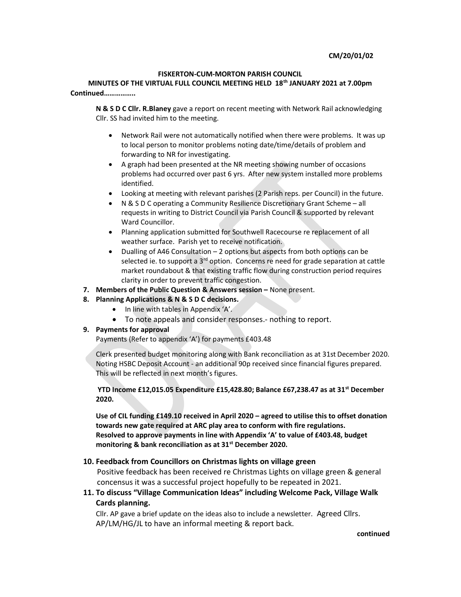#### CM/20/01/02

#### FISKERTON-CUM-MORTON PARISH COUNCIL

MINUTES OF THE VIRTUAL FULL COUNCIL MEETING HELD 18<sup>th</sup> JANUARY 2021 at 7.00pm Continued……………..

N & S D C Cllr. R.Blaney gave a report on recent meeting with Network Rail acknowledging Cllr. SS had invited him to the meeting.

- Network Rail were not automatically notified when there were problems. It was up to local person to monitor problems noting date/time/details of problem and forwarding to NR for investigating.
- A graph had been presented at the NR meeting showing number of occasions problems had occurred over past 6 yrs. After new system installed more problems identified.
- Looking at meeting with relevant parishes (2 Parish reps. per Council) in the future.
- N & S D C operating a Community Resilience Discretionary Grant Scheme all requests in writing to District Council via Parish Council & supported by relevant Ward Councillor.
- Planning application submitted for Southwell Racecourse re replacement of all weather surface. Parish yet to receive notification.
- Dualling of A46 Consultation 2 options but aspects from both options can be selected ie. to support a 3<sup>rd</sup> option. Concerns re need for grade separation at cattle market roundabout & that existing traffic flow during construction period requires clarity in order to prevent traffic congestion.
- 7. Members of the Public Question & Answers session None present.

# 8. Planning Applications & N & S D C decisions.

- In line with tables in Appendix 'A'.
- To note appeals and consider responses.- nothing to report.

# 9. Payments for approval

Payments (Refer to appendix 'A') for payments £403.48

Clerk presented budget monitoring along with Bank reconciliation as at 31st December 2020. Noting HSBC Deposit Account - an additional 90p received since financial figures prepared. This will be reflected in next month's figures.

YTD Income £12,015.05 Expenditure £15,428.80; Balance £67,238.47 as at 31<sup>st</sup> December 2020.

Use of CIL funding £149.10 received in April 2020 – agreed to utilise this to offset donation towards new gate required at ARC play area to conform with fire regulations. Resolved to approve payments in line with Appendix 'A' to value of £403.48, budget monitoring & bank reconciliation as at 31<sup>st</sup> December 2020.

# 10. Feedback from Councillors on Christmas lights on village green

Positive feedback has been received re Christmas Lights on village green & general concensus it was a successful project hopefully to be repeated in 2021.

11. To discuss "Village Communication Ideas" including Welcome Pack, Village Walk Cards planning.

Cllr. AP gave a brief update on the ideas also to include a newsletter. Agreed Cllrs. AP/LM/HG/JL to have an informal meeting & report back.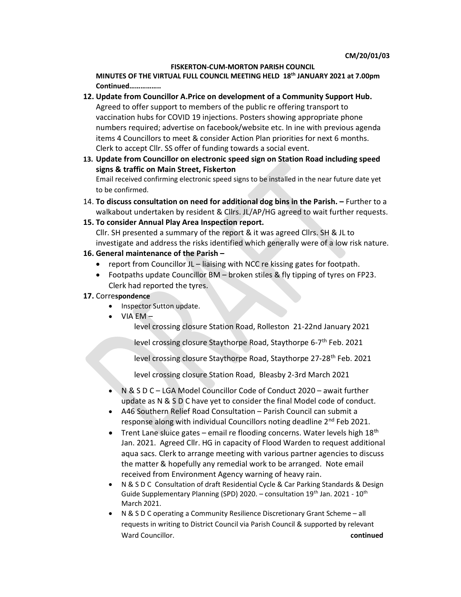#### FISKERTON-CUM-MORTON PARISH COUNCIL

MINUTES OF THE VIRTUAL FULL COUNCIL MEETING HELD 18th JANUARY 2021 at 7.00pm Continued……………..

- 12. Update from Councillor A.Price on development of a Community Support Hub. Agreed to offer support to members of the public re offering transport to vaccination hubs for COVID 19 injections. Posters showing appropriate phone numbers required; advertise on facebook/website etc. In ine with previous agenda items 4 Councillors to meet & consider Action Plan priorities for next 6 months. Clerk to accept Cllr. SS offer of funding towards a social event.
- 13. Update from Councillor on electronic speed sign on Station Road including speed signs & traffic on Main Street, Fiskerton Email received confirming electronic speed signs to be installed in the near future date yet to be confirmed.
- 14. To discuss consultation on need for additional dog bins in the Parish. Further to a walkabout undertaken by resident & Cllrs. JL/AP/HG agreed to wait further requests.
- 15. To consider Annual Play Area Inspection report.

Cllr. SH presented a summary of the report & it was agreed Cllrs. SH & JL to investigate and address the risks identified which generally were of a low risk nature.

# 16. General maintenance of the Parish –

- report from Councillor JL liaising with NCC re kissing gates for footpath.
- Footpaths update Councillor BM broken stiles & fly tipping of tyres on FP23. Clerk had reported the tyres.
- 17. Correspondence
	- Inspector Sutton update.
	- $\bullet$  VIA EM  $-$

level crossing closure Station Road, Rolleston 21-22nd January 2021

level crossing closure Staythorpe Road, Staythorpe 6-7th Feb. 2021

level crossing closure Staythorpe Road, Staythorpe 27-28<sup>th</sup> Feb. 2021

level crossing closure Station Road, Bleasby 2-3rd March 2021

- N & S D C LGA Model Councillor Code of Conduct 2020 await further update as N & S D C have yet to consider the final Model code of conduct.
- A46 Southern Relief Road Consultation Parish Council can submit a response along with individual Councillors noting deadline 2<sup>nd</sup> Feb 2021.
- **•** Trent Lane sluice gates email re flooding concerns. Water levels high  $18<sup>th</sup>$ Jan. 2021. Agreed Cllr. HG in capacity of Flood Warden to request additional aqua sacs. Clerk to arrange meeting with various partner agencies to discuss the matter & hopefully any remedial work to be arranged. Note email received from Environment Agency warning of heavy rain.
- N & S D C Consultation of draft Residential Cycle & Car Parking Standards & Design Guide Supplementary Planning (SPD) 2020. – consultation  $19<sup>th</sup>$  Jan. 2021 -  $10<sup>th</sup>$ March 2021.
- N & S D C operating a Community Resilience Discretionary Grant Scheme all requests in writing to District Council via Parish Council & supported by relevant Ward Councillor. **Councillor** Councillor.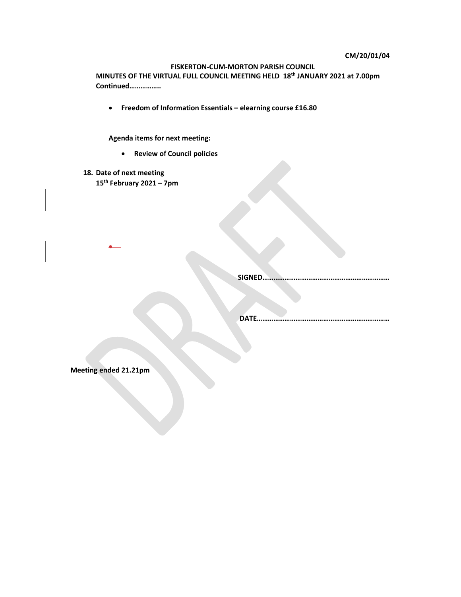#### CM/20/01/04

# FISKERTON-CUM-MORTON PARISH COUNCIL

MINUTES OF THE VIRTUAL FULL COUNCIL MEETING HELD 18th JANUARY 2021 at 7.00pm Continued……………..

Freedom of Information Essentials – elearning course £16.80

Agenda items for next meeting:

- Review of Council policies
- 18. Date of next meeting 15<sup>th</sup> February 2021 – 7pm

SIGNED……………………………………………………………

DATE………………………………………………………………

Meeting ended 21.21pm

 $\bullet$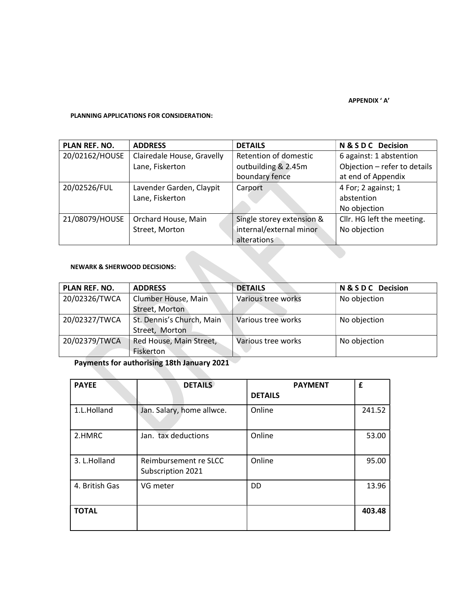# APPENDIX ' A'

# PLANNING APPLICATIONS FOR CONSIDERATION:

| PLAN REF. NO.  | <b>ADDRESS</b>             | <b>DETAILS</b>            | N & S D C Decision           |
|----------------|----------------------------|---------------------------|------------------------------|
| 20/02162/HOUSE | Clairedale House, Gravelly | Retention of domestic     | 6 against: 1 abstention      |
|                | Lane, Fiskerton            | outbuilding & 2.45m       | Objection - refer to details |
|                |                            | boundary fence            | at end of Appendix           |
| 20/02526/FUL   | Lavender Garden, Claypit   | Carport                   | 4 For; 2 against; 1          |
|                | Lane, Fiskerton            |                           | abstention                   |
|                |                            |                           | No objection                 |
| 21/08079/HOUSE | Orchard House, Main        | Single storey extension & | Cllr. HG left the meeting.   |
|                | Street, Morton             | internal/external minor   | No objection                 |
|                |                            | alterations               |                              |

# NEWARK & SHERWOOD DECISIONS:

 $\mathcal{N}_{\mathcal{A}}$ 

| <b>PLAN REF. NO.</b> | <b>ADDRESS</b>            | <b>DETAILS</b>     | <b>N&amp;SDC</b> Decision |
|----------------------|---------------------------|--------------------|---------------------------|
| 20/02326/TWCA        | Clumber House, Main       | Various tree works | No objection              |
|                      | Street, Morton            |                    |                           |
| 20/02327/TWCA        | St. Dennis's Church, Main | Various tree works | No objection              |
|                      | Street, Morton            |                    |                           |
| 20/02379/TWCA        | Red House, Main Street,   | Various tree works | No objection              |
|                      | Fiskerton                 |                    |                           |

# Payments for authorising 18th January 2021

| <b>PAYEE</b>   | <b>DETAILS</b>                             | <b>PAYMENT</b> | £      |
|----------------|--------------------------------------------|----------------|--------|
|                |                                            | <b>DETAILS</b> |        |
| 1.L.Holland    | Jan. Salary, home allwce.                  | Online         | 241.52 |
| 2.HMRC         | Jan. tax deductions                        | Online         | 53.00  |
| 3. L.Holland   | Reimbursement re SLCC<br>Subscription 2021 | Online         | 95.00  |
| 4. British Gas | VG meter                                   | <b>DD</b>      | 13.96  |
| <b>TOTAL</b>   |                                            |                | 403.48 |